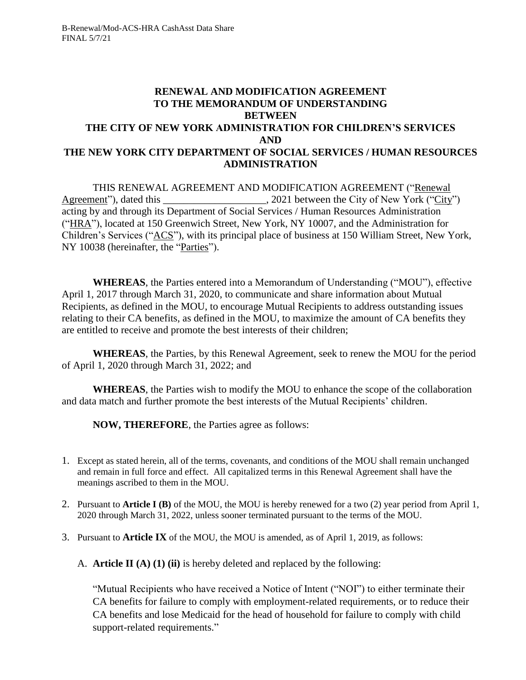#### **RENEWAL AND MODIFICATION AGREEMENT TO THE MEMORANDUM OF UNDERSTANDING BETWEEN THE CITY OF NEW YORK ADMINISTRATION FOR CHILDREN'S SERVICES AND THE NEW YORK CITY DEPARTMENT OF SOCIAL SERVICES / HUMAN RESOURCES ADMINISTRATION**

THIS RENEWAL AGREEMENT AND MODIFICATION AGREEMENT ("Renewal Agreement"), dated this \_\_\_\_\_\_\_\_\_\_\_\_\_\_\_\_\_\_\_\_, 2021 between the City of New York ("City") acting by and through its Department of Social Services / Human Resources Administration ("HRA"), located at 150 Greenwich Street, New York, NY 10007, and the Administration for Children's Services ("ACS"), with its principal place of business at 150 William Street, New York, NY 10038 (hereinafter, the "Parties").

**WHEREAS**, the Parties entered into a Memorandum of Understanding ("MOU"), effective April 1, 2017 through March 31, 2020, to communicate and share information about Mutual Recipients, as defined in the MOU, to encourage Mutual Recipients to address outstanding issues relating to their CA benefits, as defined in the MOU, to maximize the amount of CA benefits they are entitled to receive and promote the best interests of their children;

**WHEREAS**, the Parties, by this Renewal Agreement, seek to renew the MOU for the period of April 1, 2020 through March 31, 2022; and

**WHEREAS**, the Parties wish to modify the MOU to enhance the scope of the collaboration and data match and further promote the best interests of the Mutual Recipients' children.

**NOW, THEREFORE**, the Parties agree as follows:

- 1. Except as stated herein, all of the terms, covenants, and conditions of the MOU shall remain unchanged and remain in full force and effect. All capitalized terms in this Renewal Agreement shall have the meanings ascribed to them in the MOU.
- 2. Pursuant to **Article I (B)** of the MOU, the MOU is hereby renewed for a two (2) year period from April 1, 2020 through March 31, 2022, unless sooner terminated pursuant to the terms of the MOU.
- 3. Pursuant to **Article IX** of the MOU, the MOU is amended, as of April 1, 2019, as follows:

A. **Article II (A) (1) (ii)** is hereby deleted and replaced by the following:

"Mutual Recipients who have received a Notice of Intent ("NOI") to either terminate their CA benefits for failure to comply with employment-related requirements, or to reduce their CA benefits and lose Medicaid for the head of household for failure to comply with child support-related requirements."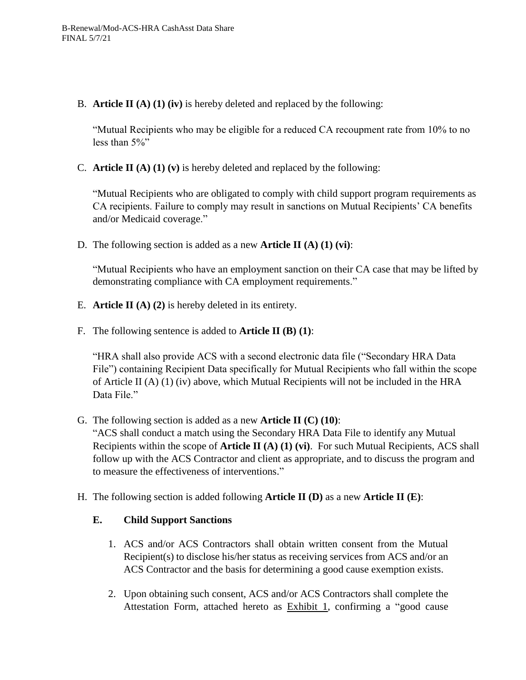B. **Article II (A) (1) (iv)** is hereby deleted and replaced by the following:

"Mutual Recipients who may be eligible for a reduced CA recoupment rate from 10% to no less than 5%"

C. **Article II (A) (1) (v)** is hereby deleted and replaced by the following:

"Mutual Recipients who are obligated to comply with child support program requirements as CA recipients. Failure to comply may result in sanctions on Mutual Recipients' CA benefits and/or Medicaid coverage."

D. The following section is added as a new **Article II (A) (1) (vi)**:

"Mutual Recipients who have an employment sanction on their CA case that may be lifted by demonstrating compliance with CA employment requirements."

- E. **Article II (A) (2)** is hereby deleted in its entirety.
- F. The following sentence is added to **Article II (B) (1)**:

"HRA shall also provide ACS with a second electronic data file ("Secondary HRA Data File") containing Recipient Data specifically for Mutual Recipients who fall within the scope of Article II  $(A)$   $(I)$   $(iv)$  above, which Mutual Recipients will not be included in the HRA Data File<sup>"</sup>

- G. The following section is added as a new **Article II (C) (10)**: "ACS shall conduct a match using the Secondary HRA Data File to identify any Mutual Recipients within the scope of **Article II (A) (1) (vi)**. For such Mutual Recipients, ACS shall follow up with the ACS Contractor and client as appropriate, and to discuss the program and to measure the effectiveness of interventions."
- H. The following section is added following **Article II (D)** as a new **Article II (E)**:

### **E. Child Support Sanctions**

- 1. ACS and/or ACS Contractors shall obtain written consent from the Mutual Recipient(s) to disclose his/her status as receiving services from ACS and/or an ACS Contractor and the basis for determining a good cause exemption exists.
- 2. Upon obtaining such consent, ACS and/or ACS Contractors shall complete the Attestation Form, attached hereto as **Exhibit 1**, confirming a "good cause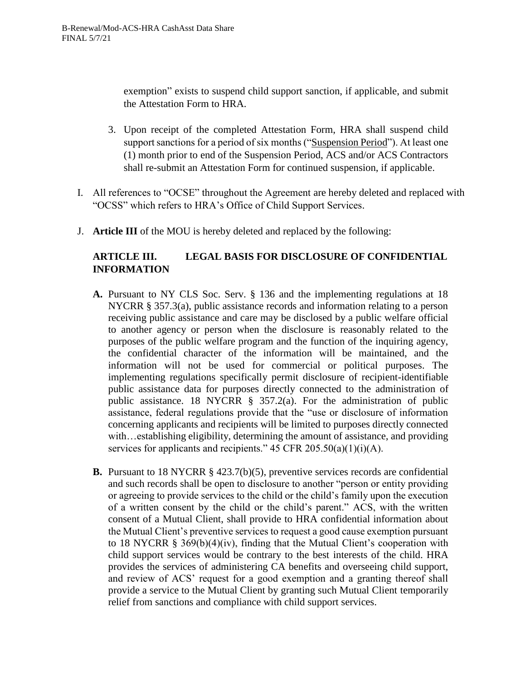exemption" exists to suspend child support sanction, if applicable, and submit the Attestation Form to HRA.

- 3. Upon receipt of the completed Attestation Form, HRA shall suspend child support sanctions for a period of six months ("Suspension Period"). At least one (1) month prior to end of the Suspension Period, ACS and/or ACS Contractors shall re-submit an Attestation Form for continued suspension, if applicable.
- I. All references to "OCSE" throughout the Agreement are hereby deleted and replaced with "OCSS" which refers to HRA's Office of Child Support Services.
- J. **Article III** of the MOU is hereby deleted and replaced by the following:

## **ARTICLE III. LEGAL BASIS FOR DISCLOSURE OF CONFIDENTIAL INFORMATION**

- **A.** Pursuant to NY CLS Soc. Serv. § 136 and the implementing regulations at 18 NYCRR § 357.3(a), public assistance records and information relating to a person receiving public assistance and care may be disclosed by a public welfare official to another agency or person when the disclosure is reasonably related to the purposes of the public welfare program and the function of the inquiring agency, the confidential character of the information will be maintained, and the information will not be used for commercial or political purposes. The implementing regulations specifically permit disclosure of recipient-identifiable public assistance data for purposes directly connected to the administration of public assistance. 18 NYCRR § 357.2(a). For the administration of public assistance, federal regulations provide that the "use or disclosure of information concerning applicants and recipients will be limited to purposes directly connected with...establishing eligibility, determining the amount of assistance, and providing services for applicants and recipients."  $45 \text{ CFR } 205.50(a)(1)(i)(A)$ .
- **B.** Pursuant to 18 NYCRR § 423.7(b)(5), preventive services records are confidential and such records shall be open to disclosure to another "person or entity providing or agreeing to provide services to the child or the child's family upon the execution of a written consent by the child or the child's parent." ACS, with the written consent of a Mutual Client, shall provide to HRA confidential information about the Mutual Client's preventive services to request a good cause exemption pursuant to 18 NYCRR § 369(b)(4)(iv), finding that the Mutual Client's cooperation with child support services would be contrary to the best interests of the child. HRA provides the services of administering CA benefits and overseeing child support, and review of ACS' request for a good exemption and a granting thereof shall provide a service to the Mutual Client by granting such Mutual Client temporarily relief from sanctions and compliance with child support services.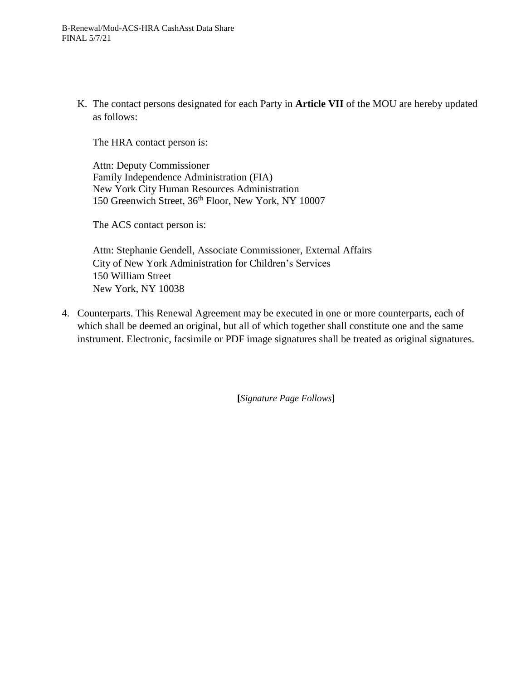K. The contact persons designated for each Party in **Article VII** of the MOU are hereby updated as follows:

The HRA contact person is:

Attn: Deputy Commissioner Family Independence Administration (FIA) New York City Human Resources Administration 150 Greenwich Street, 36<sup>th</sup> Floor, New York, NY 10007

The ACS contact person is:

Attn: Stephanie Gendell, Associate Commissioner, External Affairs City of New York Administration for Children's Services 150 William Street New York, NY 10038

4. Counterparts. This Renewal Agreement may be executed in one or more counterparts, each of which shall be deemed an original, but all of which together shall constitute one and the same instrument. Electronic, facsimile or PDF image signatures shall be treated as original signatures.

**[***Signature Page Follows***]**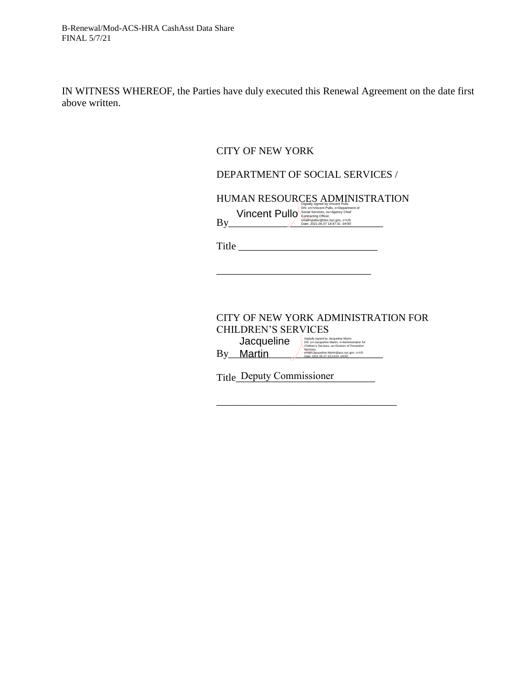IN WITNESS WHEREOF, the Parties have duly executed this Renewal Agreement on the date first above written.

#### CITY OF NEW YORK

#### DEPARTMENT OF SOCIAL SERVICES /

HUMAN RESOURCES ADMINISTRATION Digitally signed by Vincent Pulo, o=Department of<br> **Vincent Pullo** Social Services, ou=Agency Chief<br>
Contracting Officer,<br>
Date: 2021.06.07 18:47:31 -04'00'<br>
Date: 2021.06.07 18:47:31 -04'00'

 $\rm {By}$   $\rm {modl=pullov@dss.nyc.gov, c=US}$ 

Title \_\_\_\_\_\_\_\_\_\_\_\_\_\_\_\_\_\_\_\_\_\_\_\_\_\_\_

\_\_\_\_\_\_\_\_\_\_\_\_\_\_\_\_\_\_\_\_\_\_\_\_\_\_\_\_\_\_

CITY OF NEW YORK ADMINISTRATION FOR CHILDREN'S SERVICES **Jacqueline Martin**<br>Children's Services, ou=Division of Prevention<br>Children's Services, ou=Division of Prevention

\_\_\_\_\_\_\_\_\_\_\_\_\_\_\_\_\_\_\_\_\_\_\_\_\_\_\_\_\_\_\_\_\_\_\_

Title\_Deputy Commissioner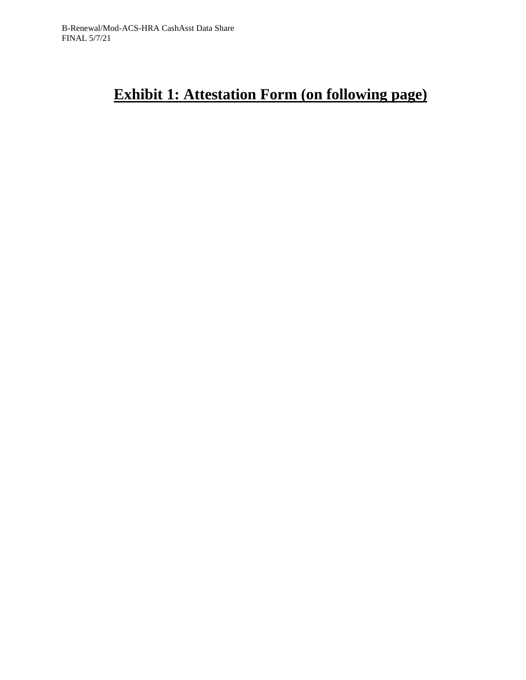# **Exhibit 1: Attestation Form (on following page)**